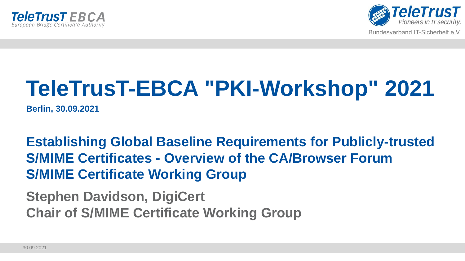



# **TeleTrusT-EBCA "PKI-Workshop" 2021**

**Berlin, 30.09.2021**

**Establishing Global Baseline Requirements for Publicly-trusted S/MIME Certificates - Overview of the CA/Browser Forum S/MIME Certificate Working Group**

**Stephen Davidson, DigiCert Chair of S/MIME Certificate Working Group**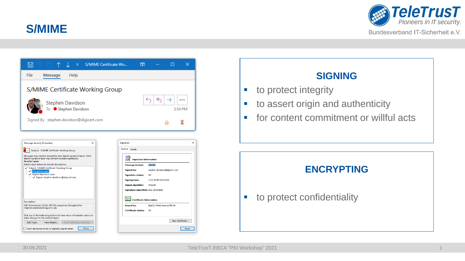



| File<br>Help<br>Message<br>S/MIME Certificate Working Group<br>≪<br>←<br><br><b>Stephen Davidson</b><br>To ● Stephen Davidson<br>3:54 PM<br>Signed By stephen.davidson@digicert.com<br>$\times$<br><b>Message Security Properties</b><br>Signature<br>General Details<br>Subject: S/MIME Certificate Working Group<br>Messages may contain encryption and digital signature layers. Each<br>digital signature layer may contain multiple signatures.<br><b>Red</b><br><b>Signature Information</b><br><b>Security Layers</b><br>Select a layer below to view its description.<br>S/MIME<br><b>Message format:</b><br>Subject: S/MIME Certificate Working Group<br><b>Signed by:</b><br>stephen.davidson@digicert.com<br>Encryption Layer<br>Digital Signature Layer<br><b>Signature status:</b><br>OK<br>Signer: stephen.davidson@digicert.com<br><b>Signing time:</b><br>3:53:39 PM 9/13/2021<br><b>Digest algorithm:</b><br><b>SHA256</b><br>Signature algorithm: RSA (2048-bits)<br><b>Parity</b><br><b>Certificate Information</b><br><b>Description:</b><br>OK: Protected by 256 bit AES256 encryption. Encrypted for<br><b>Issued by:</b><br>DigiCert SHA2 Assured ID CA<br>stephen.davidson@digicert.com.<br><b>Certificate status:</b><br>OK<br>Click any of the following buttons to view more information about or<br>make changes to the selected layer:<br>View Certificate<br>Edit Trust<br>View Details<br>Trust Certificate Authority | $\overline{\triangledown}$ S/MIME Certificate Wo<br>$\overline{ }$<br>님 | ×     |  |  |  |  |
|------------------------------------------------------------------------------------------------------------------------------------------------------------------------------------------------------------------------------------------------------------------------------------------------------------------------------------------------------------------------------------------------------------------------------------------------------------------------------------------------------------------------------------------------------------------------------------------------------------------------------------------------------------------------------------------------------------------------------------------------------------------------------------------------------------------------------------------------------------------------------------------------------------------------------------------------------------------------------------------------------------------------------------------------------------------------------------------------------------------------------------------------------------------------------------------------------------------------------------------------------------------------------------------------------------------------------------------------------------------------------------------------------------------------------------------------------|-------------------------------------------------------------------------|-------|--|--|--|--|
|                                                                                                                                                                                                                                                                                                                                                                                                                                                                                                                                                                                                                                                                                                                                                                                                                                                                                                                                                                                                                                                                                                                                                                                                                                                                                                                                                                                                                                                      |                                                                         |       |  |  |  |  |
|                                                                                                                                                                                                                                                                                                                                                                                                                                                                                                                                                                                                                                                                                                                                                                                                                                                                                                                                                                                                                                                                                                                                                                                                                                                                                                                                                                                                                                                      |                                                                         |       |  |  |  |  |
|                                                                                                                                                                                                                                                                                                                                                                                                                                                                                                                                                                                                                                                                                                                                                                                                                                                                                                                                                                                                                                                                                                                                                                                                                                                                                                                                                                                                                                                      |                                                                         |       |  |  |  |  |
|                                                                                                                                                                                                                                                                                                                                                                                                                                                                                                                                                                                                                                                                                                                                                                                                                                                                                                                                                                                                                                                                                                                                                                                                                                                                                                                                                                                                                                                      |                                                                         |       |  |  |  |  |
|                                                                                                                                                                                                                                                                                                                                                                                                                                                                                                                                                                                                                                                                                                                                                                                                                                                                                                                                                                                                                                                                                                                                                                                                                                                                                                                                                                                                                                                      |                                                                         |       |  |  |  |  |
|                                                                                                                                                                                                                                                                                                                                                                                                                                                                                                                                                                                                                                                                                                                                                                                                                                                                                                                                                                                                                                                                                                                                                                                                                                                                                                                                                                                                                                                      |                                                                         |       |  |  |  |  |
|                                                                                                                                                                                                                                                                                                                                                                                                                                                                                                                                                                                                                                                                                                                                                                                                                                                                                                                                                                                                                                                                                                                                                                                                                                                                                                                                                                                                                                                      |                                                                         |       |  |  |  |  |
|                                                                                                                                                                                                                                                                                                                                                                                                                                                                                                                                                                                                                                                                                                                                                                                                                                                                                                                                                                                                                                                                                                                                                                                                                                                                                                                                                                                                                                                      |                                                                         |       |  |  |  |  |
|                                                                                                                                                                                                                                                                                                                                                                                                                                                                                                                                                                                                                                                                                                                                                                                                                                                                                                                                                                                                                                                                                                                                                                                                                                                                                                                                                                                                                                                      |                                                                         |       |  |  |  |  |
|                                                                                                                                                                                                                                                                                                                                                                                                                                                                                                                                                                                                                                                                                                                                                                                                                                                                                                                                                                                                                                                                                                                                                                                                                                                                                                                                                                                                                                                      |                                                                         |       |  |  |  |  |
| Close<br>Warn me about errors in digitally signed email.                                                                                                                                                                                                                                                                                                                                                                                                                                                                                                                                                                                                                                                                                                                                                                                                                                                                                                                                                                                                                                                                                                                                                                                                                                                                                                                                                                                             |                                                                         | Close |  |  |  |  |

# **SIGNING** ■ to protect integrity ■ to assert origin and authenticity ■ for content commitment or willful acts **ENCRYPTING** ■ to protect confidentiality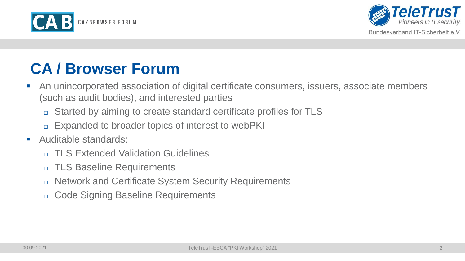



# **CA / Browser Forum**

- An unincorporated association of digital certificate consumers, issuers, associate members (such as audit bodies), and interested parties
	- □ Started by aiming to create standard certificate profiles for TLS
	- □ Expanded to broader topics of interest to webPKI
- Auditable standards:
	- □ TLS Extended Validation Guidelines
	- □ TLS Baseline Requirements
	- □ Network and Certificate System Security Requirements
	- □ Code Signing Baseline Requirements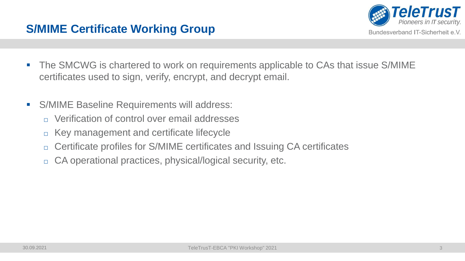



- The SMCWG is chartered to work on requirements applicable to CAs that issue S/MIME certificates used to sign, verify, encrypt, and decrypt email.
- S/MIME Baseline Requirements will address:
	- $\Box$  Verification of control over email addresses
	- □ Key management and certificate lifecycle
	- □ Certificate profiles for S/MIME certificates and Issuing CA certificates
	- □ CA operational practices, physical/logical security, etc.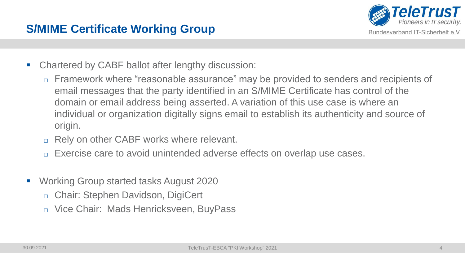

- Chartered by CABF ballot after lengthy discussion:
	- Framework where "reasonable assurance" may be provided to senders and recipients of email messages that the party identified in an S/MIME Certificate has control of the domain or email address being asserted. A variation of this use case is where an individual or organization digitally signs email to establish its authenticity and source of origin.
	- □ Rely on other CABF works where relevant.
	- Exercise care to avoid unintended adverse effects on overlap use cases.
- Working Group started tasks August 2020
	- □ Chair: Stephen Davidson, DigiCert
	- □ Vice Chair: Mads Henricksveen, BuyPass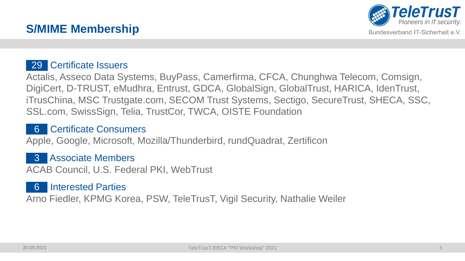

# **S/MIME Membership**

#### 29 Certificate Issuers

Actalis, Asseco Data Systems, BuyPass, Camerfirma, CFCA, Chunghwa Telecom, Comsign, DigiCert, D-TRUST, eMudhra, Entrust, GDCA, GlobalSign, GlobalTrust, HARICA, IdenTrust, iTrusChina, MSC Trustgate.com, SECOM Trust Systems, Sectigo, SecureTrust, SHECA, SSC, SSL.com, SwissSign, Telia, TrustCor, TWCA, OISTE Foundation

#### 6 Certificate Consumers

Apple, Google, Microsoft, Mozilla/Thunderbird, rundQuadrat, Zertificon

#### 3 Associate Members

ACAB Council, U.S. Federal PKI, WebTrust

#### 6 Interested Parties

Arno Fiedler, KPMG Korea, PSW, TeleTrusT, Vigil Security, Nathalie Weiler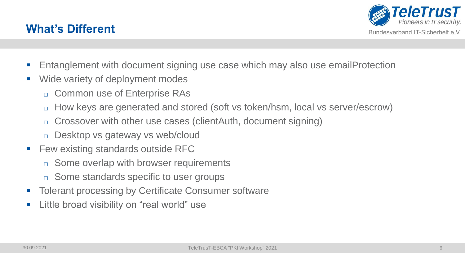



- Entanglement with document signing use case which may also use emailProtection
- Wide variety of deployment modes
	- Common use of Enterprise RAs
	- □ How keys are generated and stored (soft vs token/hsm, local vs server/escrow)
	- □ Crossover with other use cases (clientAuth, document signing)
	- Desktop vs gateway vs web/cloud
- Few existing standards outside RFC
	- □ Some overlap with browser requirements
	- □ Some standards specific to user groups
- Tolerant processing by Certificate Consumer software
- Little broad visibility on "real world" use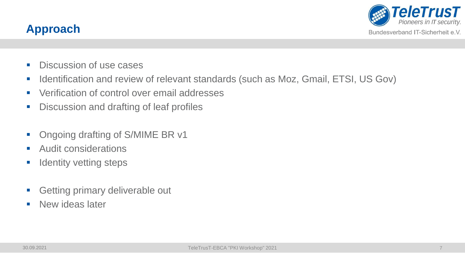

## **Approach**

- **Discussion of use cases**
- Identification and review of relevant standards (such as Moz, Gmail, ETSI, US Gov)
- Verification of control over email addresses
- **Discussion and drafting of leaf profiles**
- Ongoing drafting of S/MIME BR v1
- Audit considerations
- **E** Identity vetting steps
- Getting primary deliverable out
- **E** New ideas later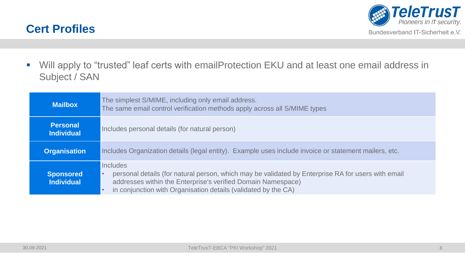



■ Will apply to "trusted" leaf certs with emailProtection EKU and at least one email address in Subject / SAN

| <b>Mailbox</b>                        | The simplest S/MIME, including only email address.<br>The same email control verification methods apply across all S/MIME types                                                                                                                  |  |  |  |  |
|---------------------------------------|--------------------------------------------------------------------------------------------------------------------------------------------------------------------------------------------------------------------------------------------------|--|--|--|--|
| <b>Personal</b><br><b>Individual</b>  | Includes personal details (for natural person)                                                                                                                                                                                                   |  |  |  |  |
| <b>Organisation</b>                   | Includes Organization details (legal entity). Example uses include invoice or statement mailers, etc.                                                                                                                                            |  |  |  |  |
| <b>Sponsored</b><br><b>Individual</b> | Includes<br>personal details (for natural person, which may be validated by Enterprise RA for users with email<br>addresses within the Enterprise's verified Domain Namespace)<br>in conjunction with Organisation details (validated by the CA) |  |  |  |  |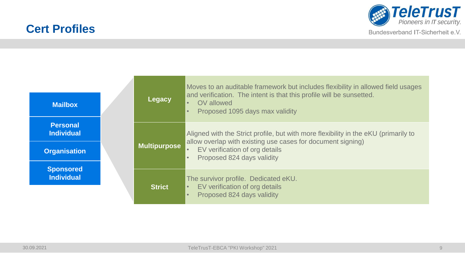## **Cert Profiles**



Bundesverband IT-Sicherheit e.V.

| <b>Mailbox</b>                                              |  | Legacy              | Moves to an auditable framework but includes flexibility in allowed field usages<br>and verification. The intent is that this profile will be sunsetted.<br>OV allowed<br>Proposed 1095 days max validity                       |
|-------------------------------------------------------------|--|---------------------|---------------------------------------------------------------------------------------------------------------------------------------------------------------------------------------------------------------------------------|
| <b>Personal</b><br><b>Individual</b><br><b>Organisation</b> |  | <b>Multipurpose</b> | Aligned with the Strict profile, but with more flexibility in the eKU (primarily to<br>allow overlap with existing use cases for document signing)<br>EV verification of org details<br>Proposed 824 days validity<br>$\bullet$ |
| <b>Sponsored</b><br><b>Individual</b>                       |  | <b>Strict</b>       | The survivor profile. Dedicated eKU.<br>EV verification of org details<br>Proposed 824 days validity                                                                                                                            |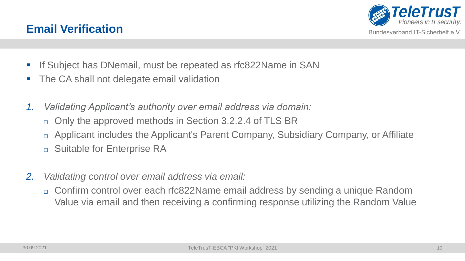### **Email Verification**

- **.** If Subject has DNemail, must be repeated as rfc822Name in SAN
- The CA shall not delegate email validation
- *1. Validating Applicant's authority over email address via domain:*
	- □ Only the approved methods in Section 3.2.2.4 of TLS BR
	- □ Applicant includes the Applicant's Parent Company, Subsidiary Company, or Affiliate
	- □ Suitable for Enterprise RA
- *2. Validating control over email address via email:*
	- □ Confirm control over each rfc822Name email address by sending a unique Random Value via email and then receiving a confirming response utilizing the Random Value

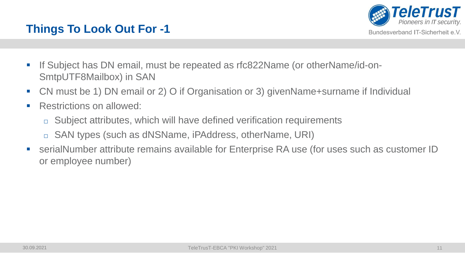

# **Things To Look Out For -1**

- If Subject has DN email, must be repeated as rfc822Name (or otherName/id-on-SmtpUTF8Mailbox) in SAN
- CN must be 1) DN email or 2) O if Organisation or 3) givenName+surname if Individual
- Restrictions on allowed:
	- □ Subject attributes, which will have defined verification requirements
	- □ SAN types (such as dNSName, iPAddress, otherName, URI)
- serialNumber attribute remains available for Enterprise RA use (for uses such as customer ID or employee number)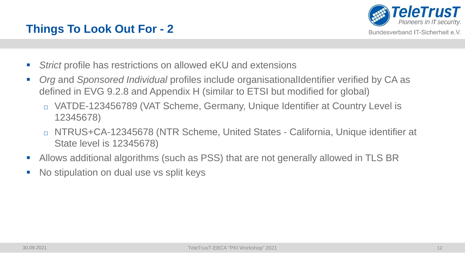

# **Things To Look Out For - 2**

- *Strict* profile has restrictions on allowed eKU and extensions
- *Org* and *Sponsored Individual* profiles include organisationalIdentifier verified by CA as defined in EVG 9.2.8 and Appendix H (similar to ETSI but modified for global)
	- □ VATDE-123456789 (VAT Scheme, Germany, Unique Identifier at Country Level is 12345678)
	- □ NTRUS+CA-12345678 (NTR Scheme, United States ‐ California, Unique identifier at State level is 12345678)
- Allows additional algorithms (such as PSS) that are not generally allowed in TLS BR
- No stipulation on dual use vs split keys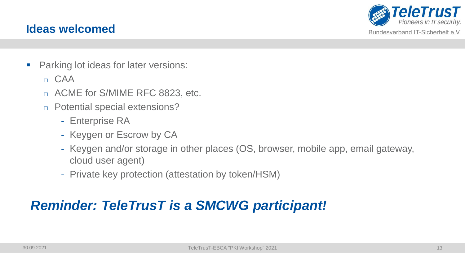### **Ideas welcomed**



Bundesverband IT-Sicherheit e.V.

- Parking lot ideas for later versions:
	- $\Box$  CAA
	- □ ACME for S/MIME RFC 8823, etc.
	- □ Potential special extensions?
		- Enterprise RA
		- Keygen or Escrow by CA
		- Keygen and/or storage in other places (OS, browser, mobile app, email gateway, cloud user agent)
		- Private key protection (attestation by token/HSM)

# *Reminder: TeleTrusT is a SMCWG participant!*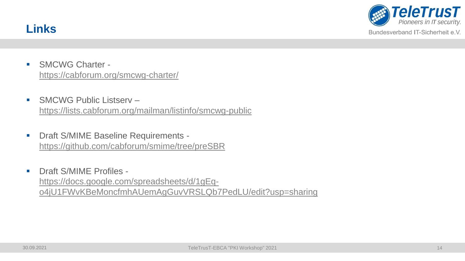



- SMCWG Charter <https://cabforum.org/smcwg-charter/>
- SMCWG Public Listserv <https://lists.cabforum.org/mailman/listinfo/smcwg-public>
- Draft S/MIME Baseline Requirements <https://github.com/cabforum/smime/tree/preSBR>
- Draft S/MIME Profiles https://docs.google.com/spreadsheets/d/1gEq[o4jU1FWvKBeMoncfmhAUemAgGuvVRSLQb7PedLU/edit?usp=sharing](https://docs.google.com/spreadsheets/d/1gEq-o4jU1FWvKBeMoncfmhAUemAgGuvVRSLQb7PedLU/edit?usp=sharing)